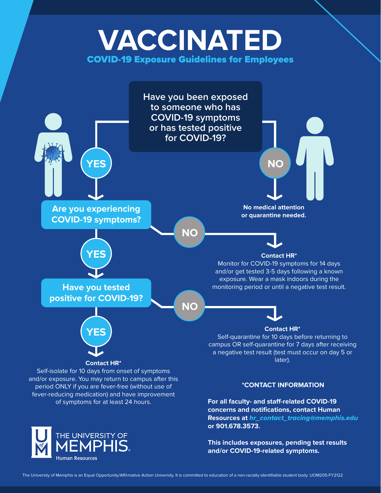## **VACCINATED** COVID-19 Exposure Guidelines for Employees



**This includes exposures, pending test results and/or COVID-19-related symptoms.**

**Human Resources**